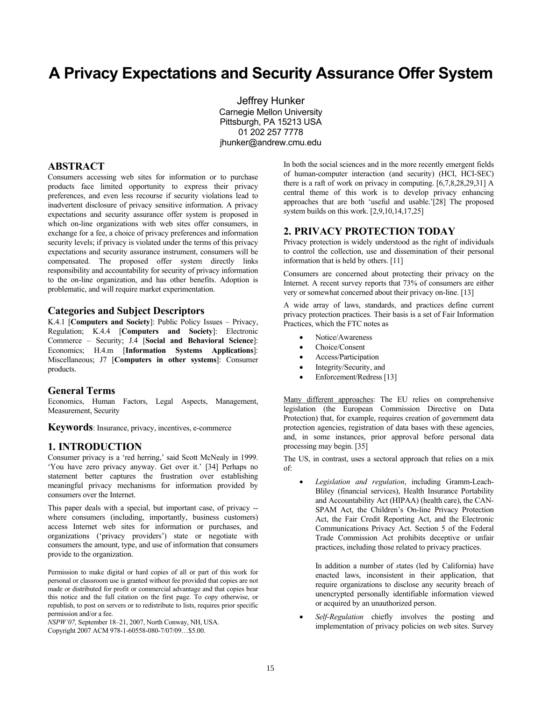# **A Privacy Expectations and Security Assurance Offer System**

Jeffrey Hunker Carnegie Mellon University Pittsburgh, PA 15213 USA 01 202 257 7778 jhunker@andrew.cmu.edu

## **ABSTRACT**

Consumers accessing web sites for information or to purchase products face limited opportunity to express their privacy preferences, and even less recourse if security violations lead to inadvertent disclosure of privacy sensitive information. A privacy expectations and security assurance offer system is proposed in which on-line organizations with web sites offer consumers, in exchange for a fee, a choice of privacy preferences and information security levels; if privacy is violated under the terms of this privacy expectations and security assurance instrument, consumers will be compensated. The proposed offer system directly links responsibility and accountability for security of privacy information to the on-line organization, and has other benefits. Adoption is problematic, and will require market experimentation.

## **Categories and Subject Descriptors**

K.4.1 [**Computers and Society**]: Public Policy Issues – Privacy, Regulation; K.4.4 [**Computers and Society**]: Electronic Commerce – Security; J.4 [**Social and Behavioral Science**]: Economics; H.4.m [**Information Systems Applications**]: Miscellaneous; J7 [**Computers in other systems**]: Consumer products.

#### **General Terms**

Economics, Human Factors, Legal Aspects, Management, Measurement, Security

**Keywords**: Insurance, privacy, incentives, e-commerce

#### **1. INTRODUCTION**

Consumer privacy is a 'red herring,' said Scott McNealy in 1999. 'You have zero privacy anyway. Get over it.' [34] Perhaps no statement better captures the frustration over establishing meaningful privacy mechanisms for information provided by consumers over the Internet.

This paper deals with a special, but important case, of privacy - where consumers (including, importantly, business customers) access Internet web sites for information or purchases, and organizations ('privacy providers') state or negotiate with consumers the amount, type, and use of information that consumers provide to the organization.

Permission to make digital or hard copies of all or part of this work for personal or classroom use is granted without fee provided that copies are not made or distributed for profit or commercial advantage and that copies bear this notice and the full citation on the first page. To copy otherwise, or republish, to post on servers or to redistribute to lists, requires prior specific permission and/or a fee.

*NSPW'07,* September 18–21, 2007, North Conway, NH, USA.

Copyright 2007 ACM 978-1-60558-080-7/07/09…\$5.00.

In both the social sciences and in the more recently emergent fields of human-computer interaction (and security) (HCI, HCI-SEC) there is a raft of work on privacy in computing. [6,7,8,28,29,31] A central theme of this work is to develop privacy enhancing approaches that are both 'useful and usable.'[28] The proposed system builds on this work. [2,9,10,14,17,25]

## **2. PRIVACY PROTECTION TODAY**

Privacy protection is widely understood as the right of individuals to control the collection, use and dissemination of their personal information that is held by others. [11]

Consumers are concerned about protecting their privacy on the Internet. A recent survey reports that 73% of consumers are either very or somewhat concerned about their privacy on-line. [13]

A wide array of laws, standards, and practices define current privacy protection practices. Their basis is a set of Fair Information Practices, which the FTC notes as

- Notice/Awareness
- Choice/Consent
- Access/Participation
- Integrity/Security, and
- Enforcement/Redress [13]

Many different approaches: The EU relies on comprehensive legislation (the European Commission Directive on Data Protection) that, for example, requires creation of government data protection agencies, registration of data bases with these agencies, and, in some instances, prior approval before personal data processing may begin. [35]

The US, in contrast, uses a sectoral approach that relies on a mix of:

• *Legislation and regulation*, including Gramm-Leach-Bliley (financial services), Health Insurance Portability and Accountability Act (HIPAA) (health care), the CAN-SPAM Act, the Children's On-line Privacy Protection Act, the Fair Credit Reporting Act, and the Electronic Communications Privacy Act. Section 5 of the Federal Trade Commission Act prohibits deceptive or unfair practices, including those related to privacy practices.

In addition a number of *s*tates (led by California) have enacted laws, inconsistent in their application, that require organizations to disclose any security breach of unencrypted personally identifiable information viewed or acquired by an unauthorized person.

• *Self-Regulation* chiefly involves the posting and implementation of privacy policies on web sites. Survey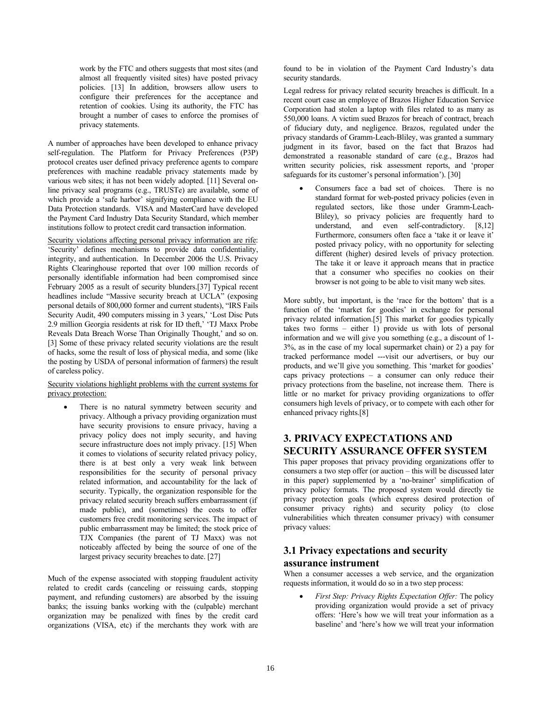work by the FTC and others suggests that most sites (and almost all frequently visited sites) have posted privacy policies. [13] In addition, browsers allow users to configure their preferences for the acceptance and retention of cookies. Using its authority, the FTC has brought a number of cases to enforce the promises of privacy statements.

A number of approaches have been developed to enhance privacy self-regulation. The Platform for Privacy Preferences (P3P) protocol creates user defined privacy preference agents to compare preferences with machine readable privacy statements made by various web sites; it has not been widely adopted. [11] Several online privacy seal programs (e.g., TRUSTe) are available, some of which provide a 'safe harbor' signifying compliance with the EU Data Protection standards. VISA and MasterCard have developed the Payment Card Industry Data Security Standard, which member institutions follow to protect credit card transaction information.

Security violations affecting personal privacy information are rife: 'Security' defines mechanisms to provide data confidentiality, integrity, and authentication. In December 2006 the U.S. Privacy Rights Clearinghouse reported that over 100 million records of personally identifiable information had been compromised since February 2005 as a result of security blunders.[37] Typical recent headlines include "Massive security breach at UCLA" (exposing personal details of 800,000 former and current students), "IRS Fails Security Audit, 490 computers missing in 3 years,' 'Lost Disc Puts 2.9 million Georgia residents at risk for ID theft,' 'TJ Maxx Probe Reveals Data Breach Worse Than Originally Thought,' and so on. [3] Some of these privacy related security violations are the result of hacks, some the result of loss of physical media, and some (like the posting by USDA of personal information of farmers) the result of careless policy.

Security violations highlight problems with the current systems for privacy protection:

There is no natural symmetry between security and privacy. Although a privacy providing organization must have security provisions to ensure privacy, having a privacy policy does not imply security, and having secure infrastructure does not imply privacy. [15] When it comes to violations of security related privacy policy, there is at best only a very weak link between responsibilities for the security of personal privacy related information, and accountability for the lack of security. Typically, the organization responsible for the privacy related security breach suffers embarrassment (if made public), and (sometimes) the costs to offer customers free credit monitoring services. The impact of public embarrassment may be limited; the stock price of TJX Companies (the parent of TJ Maxx) was not noticeably affected by being the source of one of the largest privacy security breaches to date. [27]

Much of the expense associated with stopping fraudulent activity related to credit cards (canceling or reissuing cards, stopping payment, and refunding customers) are absorbed by the issuing banks; the issuing banks working with the (culpable) merchant organization may be penalized with fines by the credit card organizations (VISA, etc) if the merchants they work with are found to be in violation of the Payment Card Industry's data security standards.

Legal redress for privacy related security breaches is difficult. In a recent court case an employee of Brazos Higher Education Service Corporation had stolen a laptop with files related to as many as 550,000 loans. A victim sued Brazos for breach of contract, breach of fiduciary duty, and negligence. Brazos, regulated under the privacy standards of Gramm-Leach-Bliley, was granted a summary judgment in its favor, based on the fact that Brazos had demonstrated a reasonable standard of care (e.g., Brazos had written security policies, risk assessment reports, and 'proper safeguards for its customer's personal information'). [30]

• Consumers face a bad set of choices. There is no standard format for web-posted privacy policies (even in regulated sectors, like those under Gramm-Leach-Bliley), so privacy policies are frequently hard to understand, and even self-contradictory. [8,12] Furthermore, consumers often face a 'take it or leave it' posted privacy policy, with no opportunity for selecting different (higher) desired levels of privacy protection. The take it or leave it approach means that in practice that a consumer who specifies no cookies on their browser is not going to be able to visit many web sites.

More subtly, but important, is the 'race for the bottom' that is a function of the 'market for goodies' in exchange for personal privacy related information.[5] This market for goodies typically takes two forms – either 1) provide us with lots of personal information and we will give you something (e.g., a discount of 1- 3%, as in the case of my local supermarket chain) or 2) a pay for tracked performance model ---visit our advertisers, or buy our products, and we'll give you something. This 'market for goodies' caps privacy protections – a consumer can only reduce their privacy protections from the baseline, not increase them. There is little or no market for privacy providing organizations to offer consumers high levels of privacy, or to compete with each other for enhanced privacy rights.[8]

# **3. PRIVACY EXPECTATIONS AND SECURITY ASSURANCE OFFER SYSTEM**

This paper proposes that privacy providing organizations offer to consumers a two step offer (or auction – this will be discussed later in this paper) supplemented by a 'no-brainer' simplification of privacy policy formats. The proposed system would directly tie privacy protection goals (which express desired protection of consumer privacy rights) and security policy (to close vulnerabilities which threaten consumer privacy) with consumer privacy values:

# **3.1 Privacy expectations and security assurance instrument**

When a consumer accesses a web service, and the organization requests information, it would do so in a two step process:

• *First Step: Privacy Rights Expectation Offer:* The policy providing organization would provide a set of privacy offers: 'Here's how we will treat your information as a baseline' and 'here's how we will treat your information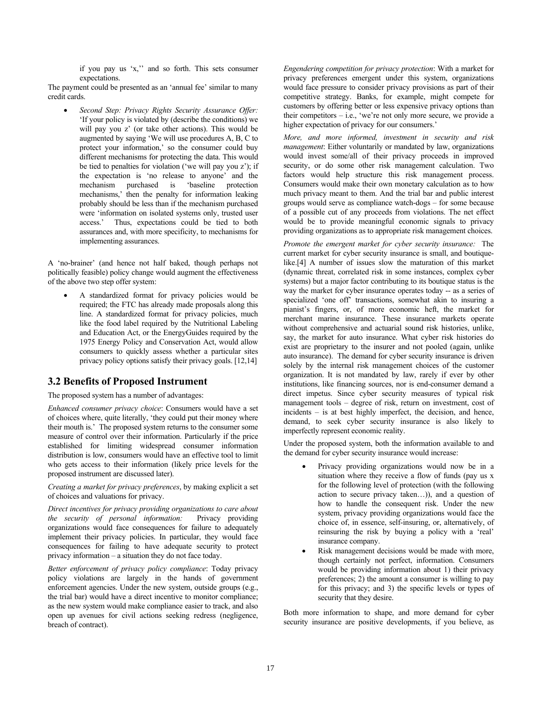if you pay us 'x,'' and so forth. This sets consumer expectations.

The payment could be presented as an 'annual fee' similar to many credit cards.

• *Second Step: Privacy Rights Security Assurance Offer:*  'If your policy is violated by (describe the conditions) we will pay you z' (or take other actions). This would be augmented by saying 'We will use procedures A, B, C to protect your information,' so the consumer could buy different mechanisms for protecting the data. This would be tied to penalties for violation ('we will pay you z'); if the expectation is 'no release to anyone' and the mechanism purchased is 'baseline protection mechanisms,' then the penalty for information leaking probably should be less than if the mechanism purchased were 'information on isolated systems only, trusted user access.' Thus, expectations could be tied to both assurances and, with more specificity, to mechanisms for implementing assurances.

A 'no-brainer' (and hence not half baked, though perhaps not politically feasible) policy change would augment the effectiveness of the above two step offer system:

• A standardized format for privacy policies would be required; the FTC has already made proposals along this line. A standardized format for privacy policies, much like the food label required by the Nutritional Labeling and Education Act, or the EnergyGuides required by the 1975 Energy Policy and Conservation Act, would allow consumers to quickly assess whether a particular sites privacy policy options satisfy their privacy goals. [12,14]

## **3.2 Benefits of Proposed Instrument**

The proposed system has a number of advantages:

*Enhanced consumer privacy choice*: Consumers would have a set of choices where, quite literally, 'they could put their money where their mouth is.' The proposed system returns to the consumer some measure of control over their information. Particularly if the price established for limiting widespread consumer information distribution is low, consumers would have an effective tool to limit who gets access to their information (likely price levels for the proposed instrument are discussed later).

*Creating a market for privacy preferences*, by making explicit a set of choices and valuations for privacy.

*Direct incentives for privacy providing organizations to care about the security of personal information:* Privacy providing organizations would face consequences for failure to adequately implement their privacy policies. In particular, they would face consequences for failing to have adequate security to protect privacy information – a situation they do not face today.

*Better enforcement of privacy policy compliance*: Today privacy policy violations are largely in the hands of government enforcement agencies. Under the new system, outside groups (e.g., the trial bar) would have a direct incentive to monitor compliance; as the new system would make compliance easier to track, and also open up avenues for civil actions seeking redress (negligence, breach of contract).

*Engendering competition for privacy protection*: With a market for privacy preferences emergent under this system, organizations would face pressure to consider privacy provisions as part of their competitive strategy. Banks, for example, might compete for customers by offering better or less expensive privacy options than their competitors – i.e., 'we're not only more secure, we provide a higher expectation of privacy for our consumers.'

*More, and more informed, investment in security and risk management*: Either voluntarily or mandated by law, organizations would invest some/all of their privacy proceeds in improved security, or do some other risk management calculation. Two factors would help structure this risk management process. Consumers would make their own monetary calculation as to how much privacy meant to them. And the trial bar and public interest groups would serve as compliance watch-dogs – for some because of a possible cut of any proceeds from violations. The net effect would be to provide meaningful economic signals to privacy providing organizations as to appropriate risk management choices.

*Promote the emergent market for cyber security insurance:* The current market for cyber security insurance is small, and boutiquelike.[4] A number of issues slow the maturation of this market (dynamic threat, correlated risk in some instances, complex cyber systems) but a major factor contributing to its boutique status is the way the market for cyber insurance operates today -- as a series of specialized 'one off' transactions, somewhat akin to insuring a pianist's fingers, or, of more economic heft, the market for merchant marine insurance. These insurance markets operate without comprehensive and actuarial sound risk histories, unlike, say, the market for auto insurance. What cyber risk histories do exist are proprietary to the insurer and not pooled (again, unlike auto insurance). The demand for cyber security insurance is driven solely by the internal risk management choices of the customer organization. It is not mandated by law, rarely if ever by other institutions, like financing sources, nor is end-consumer demand a direct impetus. Since cyber security measures of typical risk management tools – degree of risk, return on investment, cost of incidents – is at best highly imperfect, the decision, and hence, demand, to seek cyber security insurance is also likely to imperfectly represent economic reality.

Under the proposed system, both the information available to and the demand for cyber security insurance would increase:

- Privacy providing organizations would now be in a situation where they receive a flow of funds (pay us x for the following level of protection (with the following action to secure privacy taken…)), and a question of how to handle the consequent risk. Under the new system, privacy providing organizations would face the choice of, in essence, self-insuring, or, alternatively, of reinsuring the risk by buying a policy with a 'real' insurance company.
- Risk management decisions would be made with more, though certainly not perfect, information. Consumers would be providing information about 1) their privacy preferences; 2) the amount a consumer is willing to pay for this privacy; and 3) the specific levels or types of security that they desire.

Both more information to shape, and more demand for cyber security insurance are positive developments, if you believe, as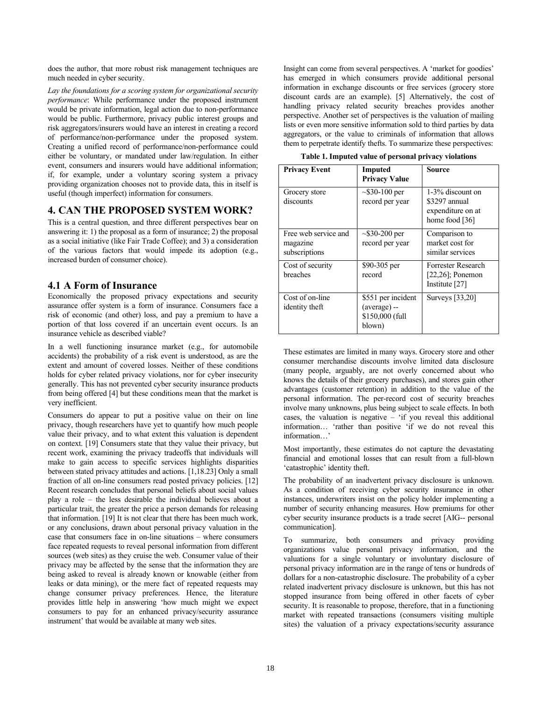does the author, that more robust risk management techniques are much needed in cyber security.

*Lay the foundations for a scoring system for organizational security performance*: While performance under the proposed instrument would be private information, legal action due to non-performance would be public. Furthermore, privacy public interest groups and risk aggregators/insurers would have an interest in creating a record of performance/non-performance under the proposed system. Creating a unified record of performance/non-performance could either be voluntary, or mandated under law/regulation. In either event, consumers and insurers would have additional information; if, for example, under a voluntary scoring system a privacy providing organization chooses not to provide data, this in itself is useful (though imperfect) information for consumers.

### **4. CAN THE PROPOSED SYSTEM WORK?**

This is a central question, and three different perspectives bear on answering it: 1) the proposal as a form of insurance; 2) the proposal as a social initiative (like Fair Trade Coffee); and 3) a consideration of the various factors that would impede its adoption (e.g., increased burden of consumer choice).

#### **4.1 A Form of Insurance**

Economically the proposed privacy expectations and security assurance offer system is a form of insurance. Consumers face a risk of economic (and other) loss, and pay a premium to have a portion of that loss covered if an uncertain event occurs. Is an insurance vehicle as described viable?

In a well functioning insurance market (e.g., for automobile accidents) the probability of a risk event is understood, as are the extent and amount of covered losses. Neither of these conditions holds for cyber related privacy violations, nor for cyber insecurity generally. This has not prevented cyber security insurance products from being offered [4] but these conditions mean that the market is very inefficient.

Consumers do appear to put a positive value on their on line privacy, though researchers have yet to quantify how much people value their privacy, and to what extent this valuation is dependent on context. [19] Consumers state that they value their privacy, but recent work, examining the privacy tradeoffs that individuals will make to gain access to specific services highlights disparities between stated privacy attitudes and actions. [1,18.23] Only a small fraction of all on-line consumers read posted privacy policies. [12] Recent research concludes that personal beliefs about social values play a role – the less desirable the individual believes about a particular trait, the greater the price a person demands for releasing that information. [19] It is not clear that there has been much work, or any conclusions, drawn about personal privacy valuation in the case that consumers face in on-line situations – where consumers face repeated requests to reveal personal information from different sources (web sites) as they cruise the web. Consumer value of their privacy may be affected by the sense that the information they are being asked to reveal is already known or knowable (either from leaks or data mining), or the mere fact of repeated requests may change consumer privacy preferences. Hence, the literature provides little help in answering 'how much might we expect consumers to pay for an enhanced privacy/security assurance instrument' that would be available at many web sites.

Insight can come from several perspectives. A 'market for goodies' has emerged in which consumers provide additional personal information in exchange discounts or free services (grocery store discount cards are an example). [5] Alternatively, the cost of handling privacy related security breaches provides another perspective. Another set of perspectives is the valuation of mailing lists or even more sensitive information sold to third parties by data aggregators, or the value to criminals of information that allows them to perpetrate identify thefts. To summarize these perspectives:

**Table 1. Imputed value of personal privacy violations** 

| <b>Privacy Event</b>                              | Imputed<br><b>Privacy Value</b>                                 | Source                                                                      |
|---------------------------------------------------|-----------------------------------------------------------------|-----------------------------------------------------------------------------|
| Grocery store<br>discounts                        | $\sim$ \$30-100 per<br>record per year                          | $1-3\%$ discount on<br>\$3297 annual<br>expenditure on at<br>home food [36] |
| Free web service and<br>magazine<br>subscriptions | $\sim$ \$30-200 per<br>record per year                          | Comparison to<br>market cost for<br>similar services                        |
| Cost of security<br>breaches                      | \$90-305 per<br>record                                          | Forrester Research<br>$[22,26]$ ; Ponemon<br>Institute [27]                 |
| Cost of on-line<br>identity theft                 | \$551 per incident<br>(average) --<br>\$150,000 (full<br>blown) | Surveys [33,20]                                                             |

These estimates are limited in many ways. Grocery store and other consumer merchandise discounts involve limited data disclosure (many people, arguably, are not overly concerned about who knows the details of their grocery purchases), and stores gain other advantages (customer retention) in addition to the value of the personal information. The per-record cost of security breaches involve many unknowns, plus being subject to scale effects. In both cases, the valuation is negative  $-$  'if you reveal this additional information… 'rather than positive 'if we do not reveal this information…'

Most importantly, these estimates do not capture the devastating financial and emotional losses that can result from a full-blown 'catastrophic' identity theft.

The probability of an inadvertent privacy disclosure is unknown. As a condition of receiving cyber security insurance in other instances, underwriters insist on the policy holder implementing a number of security enhancing measures. How premiums for other cyber security insurance products is a trade secret [AIG-- personal communication].

To summarize, both consumers and privacy providing organizations value personal privacy information, and the valuations for a single voluntary or involuntary disclosure of personal privacy information are in the range of tens or hundreds of dollars for a non-catastrophic disclosure. The probability of a cyber related inadvertent privacy disclosure is unknown, but this has not stopped insurance from being offered in other facets of cyber security. It is reasonable to propose, therefore, that in a functioning market with repeated transactions (consumers visiting multiple sites) the valuation of a privacy expectations/security assurance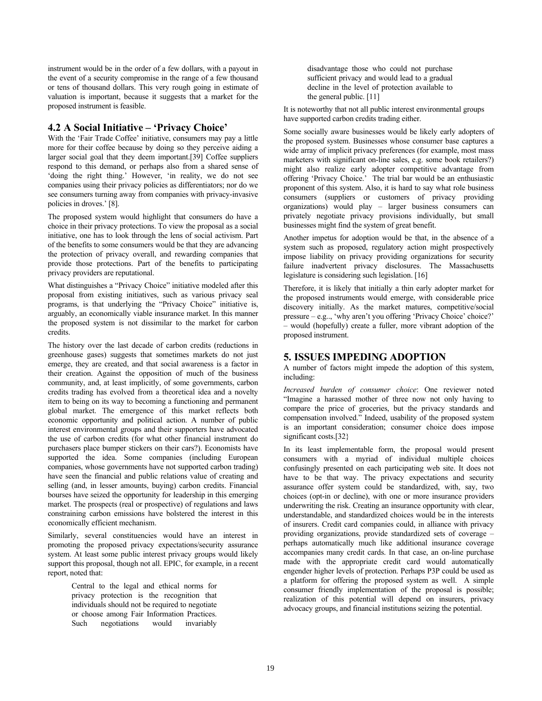instrument would be in the order of a few dollars, with a payout in the event of a security compromise in the range of a few thousand or tens of thousand dollars. This very rough going in estimate of valuation is important, because it suggests that a market for the proposed instrument is feasible.

#### **4.2 A Social Initiative – 'Privacy Choice'**

With the 'Fair Trade Coffee' initiative, consumers may pay a little more for their coffee because by doing so they perceive aiding a larger social goal that they deem important.[39] Coffee suppliers respond to this demand, or perhaps also from a shared sense of 'doing the right thing.' However, 'in reality, we do not see companies using their privacy policies as differentiators; nor do we see consumers turning away from companies with privacy-invasive policies in droves.' [8].

The proposed system would highlight that consumers do have a choice in their privacy protections. To view the proposal as a social initiative, one has to look through the lens of social activism. Part of the benefits to some consumers would be that they are advancing the protection of privacy overall, and rewarding companies that provide those protections. Part of the benefits to participating privacy providers are reputational.

What distinguishes a "Privacy Choice" initiative modeled after this proposal from existing initiatives, such as various privacy seal programs, is that underlying the "Privacy Choice" initiative is, arguably, an economically viable insurance market. In this manner the proposed system is not dissimilar to the market for carbon credits.

The history over the last decade of carbon credits (reductions in greenhouse gases) suggests that sometimes markets do not just emerge, they are created, and that social awareness is a factor in their creation. Against the opposition of much of the business community, and, at least implicitly, of some governments, carbon credits trading has evolved from a theoretical idea and a novelty item to being on its way to becoming a functioning and permanent global market. The emergence of this market reflects both economic opportunity and political action. A number of public interest environmental groups and their supporters have advocated the use of carbon credits (for what other financial instrument do purchasers place bumper stickers on their cars?). Economists have supported the idea. Some companies (including European companies, whose governments have not supported carbon trading) have seen the financial and public relations value of creating and selling (and, in lesser amounts, buying) carbon credits. Financial bourses have seized the opportunity for leadership in this emerging market. The prospects (real or prospective) of regulations and laws constraining carbon emissions have bolstered the interest in this economically efficient mechanism.

Similarly, several constituencies would have an interest in promoting the proposed privacy expectations/security assurance system. At least some public interest privacy groups would likely support this proposal, though not all. EPIC, for example, in a recent report, noted that:

> Central to the legal and ethical norms for privacy protection is the recognition that individuals should not be required to negotiate or choose among Fair Information Practices. Such negotiations would invariably

disadvantage those who could not purchase sufficient privacy and would lead to a gradual decline in the level of protection available to the general public. [11]

It is noteworthy that not all public interest environmental groups have supported carbon credits trading either.

Some socially aware businesses would be likely early adopters of the proposed system. Businesses whose consumer base captures a wide array of implicit privacy preferences (for example, most mass marketers with significant on-line sales, e.g. some book retailers?) might also realize early adopter competitive advantage from offering 'Privacy Choice.' The trial bar would be an enthusiastic proponent of this system. Also, it is hard to say what role business consumers (suppliers or customers of privacy providing organizations) would play – larger business consumers can privately negotiate privacy provisions individually, but small businesses might find the system of great benefit.

Another impetus for adoption would be that, in the absence of a system such as proposed, regulatory action might prospectively impose liability on privacy providing organizations for security failure inadvertent privacy disclosures. The Massachusetts legislature is considering such legislation. [16]

Therefore, it is likely that initially a thin early adopter market for the proposed instruments would emerge, with considerable price discovery initially. As the market matures, competitive/social pressure – e.g.., 'why aren't you offering 'Privacy Choice' choice?' – would (hopefully) create a fuller, more vibrant adoption of the proposed instrument.

## **5. ISSUES IMPEDING ADOPTION**

A number of factors might impede the adoption of this system, including:

*Increased burden of consumer choice*: One reviewer noted "Imagine a harassed mother of three now not only having to compare the price of groceries, but the privacy standards and compensation involved." Indeed, usability of the proposed system is an important consideration; consumer choice does impose significant costs.<sup>[32]</sup>

In its least implementable form, the proposal would present consumers with a myriad of individual multiple choices confusingly presented on each participating web site. It does not have to be that way. The privacy expectations and security assurance offer system could be standardized, with, say, two choices (opt-in or decline), with one or more insurance providers underwriting the risk. Creating an insurance opportunity with clear, understandable, and standardized choices would be in the interests of insurers. Credit card companies could, in alliance with privacy providing organizations, provide standardized sets of coverage – perhaps automatically much like additional insurance coverage accompanies many credit cards. In that case, an on-line purchase made with the appropriate credit card would automatically engender higher levels of protection. Perhaps P3P could be used as a platform for offering the proposed system as well. A simple consumer friendly implementation of the proposal is possible; realization of this potential will depend on insurers, privacy advocacy groups, and financial institutions seizing the potential.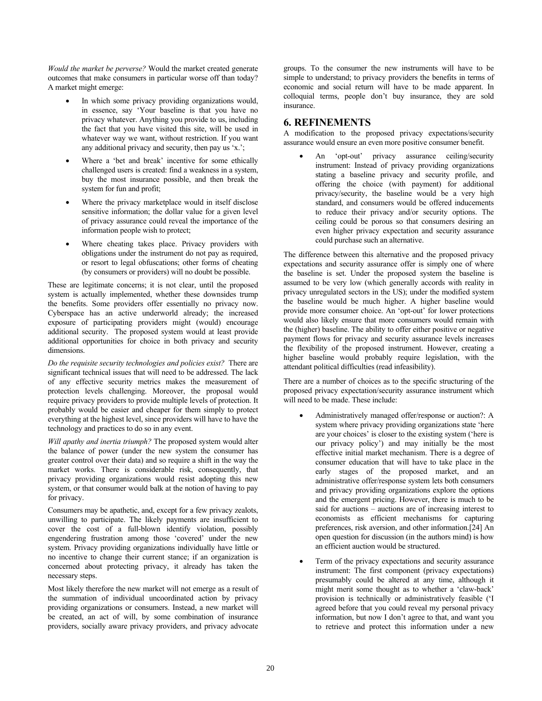*Would the market be perverse?* Would the market created generate outcomes that make consumers in particular worse off than today? A market might emerge:

- In which some privacy providing organizations would, in essence, say 'Your baseline is that you have no privacy whatever. Anything you provide to us, including the fact that you have visited this site, will be used in whatever way we want, without restriction. If you want any additional privacy and security, then pay us 'x.';
- Where a 'bet and break' incentive for some ethically challenged users is created: find a weakness in a system, buy the most insurance possible, and then break the system for fun and profit;
- Where the privacy marketplace would in itself disclose sensitive information; the dollar value for a given level of privacy assurance could reveal the importance of the information people wish to protect;
- Where cheating takes place. Privacy providers with obligations under the instrument do not pay as required, or resort to legal obfuscations; other forms of cheating (by consumers or providers) will no doubt be possible.

These are legitimate concerns; it is not clear, until the proposed system is actually implemented, whether these downsides trump the benefits. Some providers offer essentially no privacy now. Cyberspace has an active underworld already; the increased exposure of participating providers might (would) encourage additional security. The proposed system would at least provide additional opportunities for choice in both privacy and security dimensions.

*Do the requisite security technologies and policies exist?* There are significant technical issues that will need to be addressed. The lack of any effective security metrics makes the measurement of protection levels challenging. Moreover, the proposal would require privacy providers to provide multiple levels of protection. It probably would be easier and cheaper for them simply to protect everything at the highest level, since providers will have to have the technology and practices to do so in any event.

*Will apathy and inertia triumph?* The proposed system would alter the balance of power (under the new system the consumer has greater control over their data) and so require a shift in the way the market works. There is considerable risk, consequently, that privacy providing organizations would resist adopting this new system, or that consumer would balk at the notion of having to pay for privacy.

Consumers may be apathetic, and, except for a few privacy zealots, unwilling to participate. The likely payments are insufficient to cover the cost of a full-blown identify violation, possibly engendering frustration among those 'covered' under the new system. Privacy providing organizations individually have little or no incentive to change their current stance; if an organization is concerned about protecting privacy, it already has taken the necessary steps.

Most likely therefore the new market will not emerge as a result of the summation of individual uncoordinated action by privacy providing organizations or consumers. Instead, a new market will be created, an act of will, by some combination of insurance providers, socially aware privacy providers, and privacy advocate

groups. To the consumer the new instruments will have to be simple to understand; to privacy providers the benefits in terms of economic and social return will have to be made apparent. In colloquial terms, people don't buy insurance, they are sold insurance.

## **6. REFINEMENTS**

A modification to the proposed privacy expectations/security assurance would ensure an even more positive consumer benefit.

An 'opt-out' privacy assurance ceiling/security instrument: Instead of privacy providing organizations stating a baseline privacy and security profile, and offering the choice (with payment) for additional privacy/security, the baseline would be a very high standard, and consumers would be offered inducements to reduce their privacy and/or security options. The ceiling could be porous so that consumers desiring an even higher privacy expectation and security assurance could purchase such an alternative.

The difference between this alternative and the proposed privacy expectations and security assurance offer is simply one of where the baseline is set. Under the proposed system the baseline is assumed to be very low (which generally accords with reality in privacy unregulated sectors in the US); under the modified system the baseline would be much higher. A higher baseline would provide more consumer choice. An 'opt-out' for lower protections would also likely ensure that more consumers would remain with the (higher) baseline. The ability to offer either positive or negative payment flows for privacy and security assurance levels increases the flexibility of the proposed instrument. However, creating a higher baseline would probably require legislation, with the attendant political difficulties (read infeasibility).

There are a number of choices as to the specific structuring of the proposed privacy expectation/security assurance instrument which will need to be made. These include:

- Administratively managed offer/response or auction?: A system where privacy providing organizations state 'here are your choices' is closer to the existing system ('here is our privacy policy') and may initially be the most effective initial market mechanism. There is a degree of consumer education that will have to take place in the early stages of the proposed market, and an administrative offer/response system lets both consumers and privacy providing organizations explore the options and the emergent pricing. However, there is much to be said for auctions – auctions are of increasing interest to economists as efficient mechanisms for capturing preferences, risk aversion, and other information.[24] An open question for discussion (in the authors mind) is how an efficient auction would be structured.
- Term of the privacy expectations and security assurance instrument: The first component (privacy expectations) presumably could be altered at any time, although it might merit some thought as to whether a 'claw-back' provision is technically or administratively feasible ('I agreed before that you could reveal my personal privacy information, but now I don't agree to that, and want you to retrieve and protect this information under a new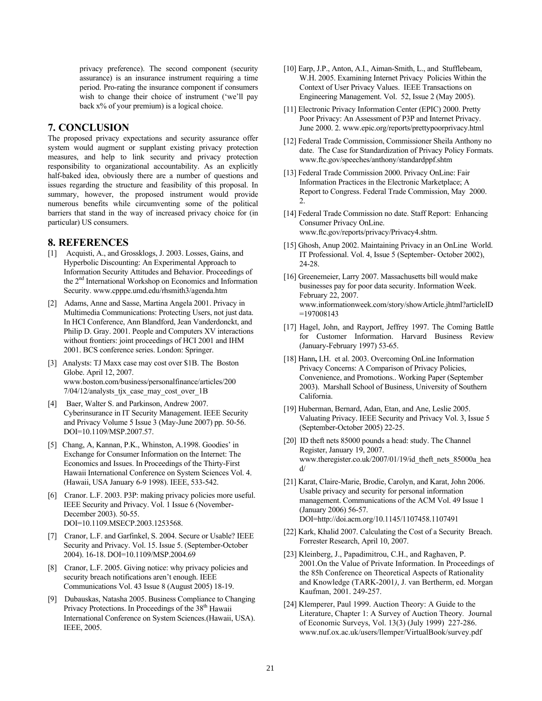privacy preference). The second component (security assurance) is an insurance instrument requiring a time period. Pro-rating the insurance component if consumers wish to change their choice of instrument ('we'll pay back x% of your premium) is a logical choice.

#### **7. CONCLUSION**

The proposed privacy expectations and security assurance offer system would augment or supplant existing privacy protection measures, and help to link security and privacy protection responsibility to organizational accountability. As an explicitly half-baked idea, obviously there are a number of questions and issues regarding the structure and feasibility of this proposal. In summary, however, the proposed instrument would provide numerous benefits while circumventing some of the political barriers that stand in the way of increased privacy choice for (in particular) US consumers.

#### **8. REFERENCES**

- [1] Acquisti, A., and Grossklogs, J. 2003. Losses, Gains, and Hyperbolic Discounting: An Experimental Approach to Information Security Attitudes and Behavior. Proceedings of the 2nd International Workshop on Economics and Information Security. www.cpppe.umd.edu/rhsmith3/agenda.htm
- [2] Adams, Anne and Sasse, Martina Angela 2001. Privacy in Multimedia Communications: Protecting Users, not just data. In HCI Conference, Ann Blandford, Jean Vanderdonckt, and Philip D. Gray. 2001. People and Computers XV interactions without frontiers: joint proceedings of HCI 2001 and IHM 2001. BCS conference series. London: Springer.
- [3] Analysts: TJ Maxx case may cost over \$1B. The Boston Globe. April 12, 2007. www.boston.com/business/personalfinance/articles/200 7/04/12/analysts tjx case may cost over 1B
- [4] Baer, Walter S. and Parkinson, Andrew 2007. Cyberinsurance in IT Security Management. IEEE Security and Privacy Volume 5 Issue 3 (May-June 2007) pp. 50-56. DOI=10.1109/MSP.2007.57.
- [5] Chang, A, Kannan, P.K., Whinston, A.1998. Goodies' in Exchange for Consumer Information on the Internet: The Economics and Issues. In Proceedings of the Thirty-First Hawaii International Conference on System Sciences Vol. 4. (Hawaii, USA January 6-9 1998). IEEE, 533-542.
- [6] Cranor. L.F. 2003. P3P: making privacy policies more useful. IEEE Security and Privacy. Vol. 1 Issue 6 (November-December 2003). 50-55. DOI=10.1109.MSECP.2003.1253568.
- [7] Cranor, L.F. and Garfinkel, S. 2004. Secure or Usable? IEEE Security and Privacy. Vol. 15. Issue 5. (September-October 2004). 16-18. DOI=10.1109/MSP.2004.69
- [8] Cranor, L.F. 2005. Giving notice: why privacy policies and security breach notifications aren't enough. IEEE Communications Vol. 43 Issue 8 (August 2005) 18-19.
- [9] Dubauskas, Natasha 2005. Business Compliance to Changing Privacy Protections. In Proceedings of the 38<sup>th</sup> Hawaii International Conference on System Sciences.(Hawaii, USA). IEEE, 2005.
- [10] Earp, J.P., Anton, A.I., Aiman-Smith, L., and Stufflebeam, W.H. 2005. Examining Internet Privacy Policies Within the Context of User Privacy Values. IEEE Transactions on Engineering Management. Vol. 52, Issue 2 (May 2005).
- [11] Electronic Privacy Information Center (EPIC) 2000. Pretty Poor Privacy: An Assessment of P3P and Internet Privacy. June 2000. 2. www.epic.org/reports/prettypoorprivacy.html
- [12] Federal Trade Commission, Commissioner Sheila Anthony no date. The Case for Standardization of Privacy Policy Formats. www.ftc.gov/speeches/anthony/standardppf.shtm
- [13] Federal Trade Commission 2000. Privacy OnLine: Fair Information Practices in the Electronic Marketplace; A Report to Congress. Federal Trade Commission, May 2000. 2.
- [14] Federal Trade Commission no date. Staff Report: Enhancing Consumer Privacy OnLine. www.ftc.gov/reports/privacy/Privacy4.shtm.
- [15] Ghosh, Anup 2002. Maintaining Privacy in an OnLine World. IT Professional. Vol. 4, Issue 5 (September- October 2002), 24-28.
- [16] Greenemeier, Larry 2007. Massachusetts bill would make businesses pay for poor data security. Information Week. February 22, 2007. www.informationweek.com/story/showArticle.jhtml?articleID  $=197008143$
- [17] Hagel, John, and Rayport, Jeffrey 1997. The Coming Battle for Customer Information. Harvard Business Review (January-February 1997) 53-65.
- [18] Hann**,** I.H. et al. 2003. Overcoming OnLine Information Privacy Concerns: A Comparison of Privacy Policies, Convenience, and Promotions.. Working Paper (September 2003). Marshall School of Business, University of Southern California.
- [19] Huberman, Bernard, Adan, Etan, and Ane, Leslie 2005. Valuating Privacy. IEEE Security and Privacy Vol. 3, Issue 5 (September-October 2005) 22-25.
- [20] ID theft nets 85000 pounds a head: study. The Channel Register, January 19, 2007. www.theregister.co.uk/2007/01/19/id theft nets 85000a hea d/
- [21] Karat, Claire-Marie, Brodie, Carolyn, and Karat, John 2006. Usable privacy and security for personal information management. Communications of the ACM Vol. 49 Issue 1 (January 2006) 56-57. DOI=http://doi.acm.org/10.1145/1107458.1107491
- [22] Kark, Khalid 2007. Calculating the Cost of a Security Breach. Forrester Research, April 10, 2007.
- [23] Kleinberg, J., Papadimitrou, C.H., and Raghaven, P. 2001.On the Value of Private Information. In Proceedings of the 85h Conference on Theoretical Aspects of Rationality and Knowledge (TARK-2001*)*, J. van Bertherm, ed. Morgan Kaufman, 2001. 249-257.
- [24] Klemperer, Paul 1999. Auction Theory: A Guide to the Literature, Chapter 1: A Survey of Auction Theory*.* Journal of Economic Surveys, Vol. 13(3) (July 1999) 227-286. www.nuf.ox.ac.uk/users/llemper/VirtualBook/survey.pdf